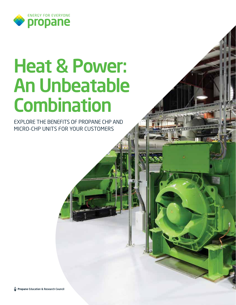

# Heat & Power: An Unbeatable **Combination**

EXPLORE THE BENEFITS OF PROPANE CHP AND MICRO-CHP UNITS FOR YOUR CUSTOMERS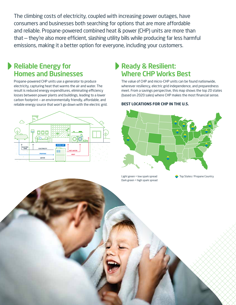The climbing costs of electricity, coupled with increasing power outages, have consumers and businesses both searching for options that are more affordable and reliable. Propane-powered combined heat & power (CHP) units are more than that — they're also more efficient, slashing utility bills while producing far less harmful emissions, making it a better option for everyone, including your customers.

### Reliable Energy for Homes and Businesses

Propane-powered CHP units use a generator to produce electricity, capturing heat that warms the air and water. The result is reduced energy expenditures, eliminating efficiency losses between power plants and buildings, leading to a lower carbon footprint — an environmentally friendly, affordable, and reliable energy source that won't go down with the electric grid.



### Ready & Resilient: Where CHP Works Best

The value of CHP and micro-CHP units can be found nationwide, wherever resiliency, electric grid independence, and preparedness meet. From a savings perspective, this map shows the top 20 states (based on 2020 sales) where CHP makes the most financial sense.

#### **BEST LOCATIONS FOR CHP IN THE U.S.**



Dark green = high spark spread

Light green = low spark spread Top States / Propane Country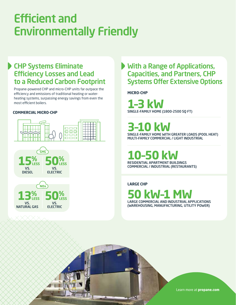# Efficient and Environmentally Friendly

### CHP Systems Eliminate Efficiency Losses and Lead to a Reduced Carbon Footprint

Propane-powered CHP and micro-CHP units far outpace the efficiency and emissions of traditional heating or waterheating systems, surpassing energy savings from even the most efficient boilers.

### **COMMERCIAL MICRO-CHP**





VS. ELECTRIC

VS. NATURAL GAS

## With a Range of Applications, Capacities, and Partners, CHP Systems Offer Extensive Options

**MICRO-CHP**

**1–3 kW** SINGLE-FAMILY HOME (1800-2500 SQ FT)

**3–10 kW**

SINGLE-FAMILY HOME WITH GREATER LOADS (POOL HEAT) MULTI-FAMILY COMMERCIAL / LIGHT INDUSTRIAL

**10–50 kW** RESIDENTIAL APARTMENT BUILDINGS COMMERCIAL / INDUSTRIAL (RESTAURANTS)

**LARGE CHP**

**50 kW–1 MW** LARGE COMMERCIAL AND INDUSTRIAL APPLICATIONS (WAREHOUSING, MANUFACTURING, UTILITY POWER)

Learn more at **propane.com**